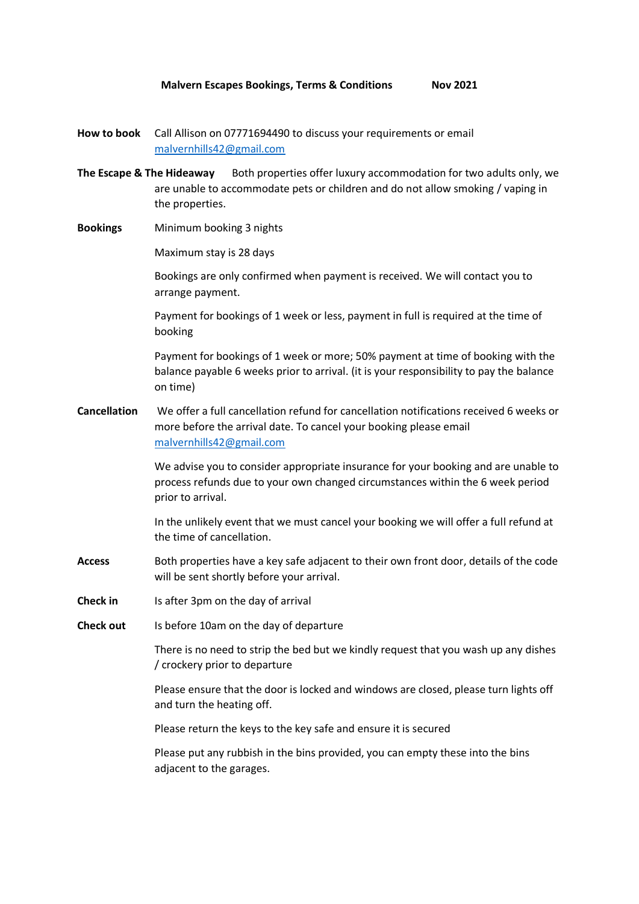- **How to book** Call Allison on 07771694490 to discuss your requirements or email [malvernhills42@gmail.com](mailto:malvernhills42@gmail.com)
- **The Escape & The Hideaway** Both properties offer luxury accommodation for two adults only, we are unable to accommodate pets or children and do not allow smoking / vaping in the properties.
- **Bookings** Minimum booking 3 nights

Maximum stay is 28 days

Bookings are only confirmed when payment is received. We will contact you to arrange payment.

Payment for bookings of 1 week or less, payment in full is required at the time of booking

Payment for bookings of 1 week or more; 50% payment at time of booking with the balance payable 6 weeks prior to arrival. (it is your responsibility to pay the balance on time)

**Cancellation** We offer a full cancellation refund for cancellation notifications received 6 weeks or more before the arrival date. To cancel your booking please email [malvernhills42@gmail.com](mailto:malvernhills42@gmail.com)

> We advise you to consider appropriate insurance for your booking and are unable to process refunds due to your own changed circumstances within the 6 week period prior to arrival.

In the unlikely event that we must cancel your booking we will offer a full refund at the time of cancellation.

- **Access** Both properties have a key safe adjacent to their own front door, details of the code will be sent shortly before your arrival.
- **Check in** Is after 3pm on the day of arrival
- **Check out** Is before 10am on the day of departure

There is no need to strip the bed but we kindly request that you wash up any dishes / crockery prior to departure

Please ensure that the door is locked and windows are closed, please turn lights off and turn the heating off.

Please return the keys to the key safe and ensure it is secured

Please put any rubbish in the bins provided, you can empty these into the bins adjacent to the garages.